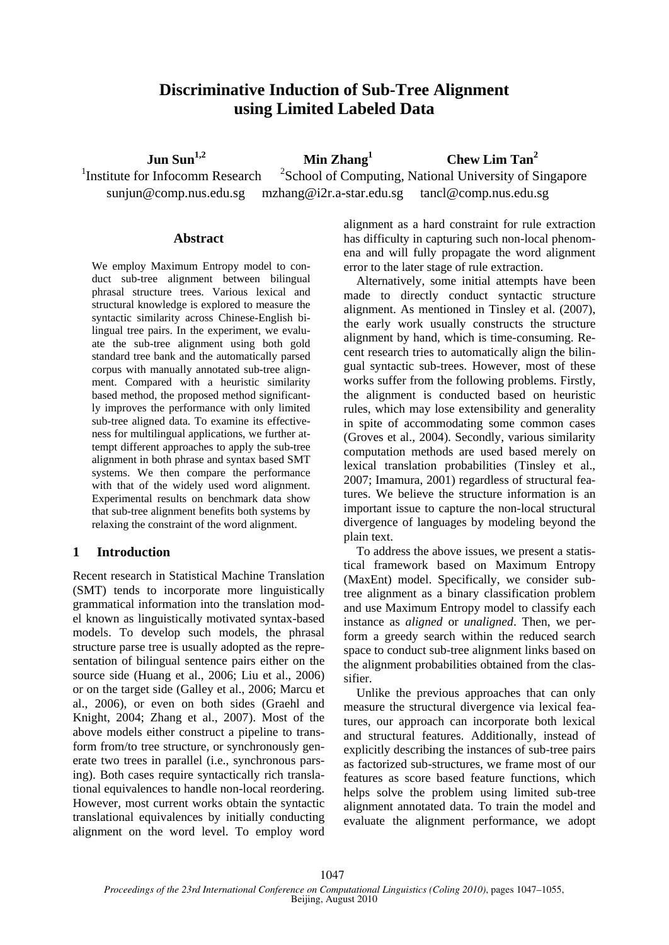# **Discriminative Induction of Sub-Tree Alignment using Limited Labeled Data**

 **Jun Sun1,2**

 **Min Zhang<sup>1</sup>**

 **Chew Lim Tan<sup>2</sup>**

1 Institute for Infocomm Research <sup>2</sup>School of Computing, National University of Singapore sunjun@comp.nus.edu.sg mzhang@i2r.a-star.edu.sg tancl@comp.nus.edu.sg

# **Abstract**

We employ Maximum Entropy model to conduct sub-tree alignment between bilingual phrasal structure trees. Various lexical and structural knowledge is explored to measure the syntactic similarity across Chinese-English bilingual tree pairs. In the experiment, we evaluate the sub-tree alignment using both gold standard tree bank and the automatically parsed corpus with manually annotated sub-tree alignment. Compared with a heuristic similarity based method, the proposed method significantly improves the performance with only limited sub-tree aligned data. To examine its effectiveness for multilingual applications, we further attempt different approaches to apply the sub-tree alignment in both phrase and syntax based SMT systems. We then compare the performance with that of the widely used word alignment. Experimental results on benchmark data show that sub-tree alignment benefits both systems by relaxing the constraint of the word alignment.

# **1 Introduction**

Recent research in Statistical Machine Translation (SMT) tends to incorporate more linguistically grammatical information into the translation model known as linguistically motivated syntax-based models. To develop such models, the phrasal structure parse tree is usually adopted as the representation of bilingual sentence pairs either on the source side (Huang et al., 2006; Liu et al., 2006) or on the target side (Galley et al., 2006; Marcu et al., 2006), or even on both sides (Graehl and Knight, 2004; Zhang et al., 2007). Most of the above models either construct a pipeline to transform from/to tree structure, or synchronously generate two trees in parallel (i.e., synchronous parsing). Both cases require syntactically rich translational equivalences to handle non-local reordering. However, most current works obtain the syntactic translational equivalences by initially conducting alignment on the word level. To employ word

alignment as a hard constraint for rule extraction has difficulty in capturing such non-local phenomena and will fully propagate the word alignment error to the later stage of rule extraction.

Alternatively, some initial attempts have been made to directly conduct syntactic structure alignment. As mentioned in Tinsley et al. (2007), the early work usually constructs the structure alignment by hand, which is time-consuming. Recent research tries to automatically align the bilingual syntactic sub-trees. However, most of these works suffer from the following problems. Firstly, the alignment is conducted based on heuristic rules, which may lose extensibility and generality in spite of accommodating some common cases (Groves et al., 2004). Secondly, various similarity computation methods are used based merely on lexical translation probabilities (Tinsley et al., 2007; Imamura, 2001) regardless of structural features. We believe the structure information is an important issue to capture the non-local structural divergence of languages by modeling beyond the plain text.

To address the above issues, we present a statistical framework based on Maximum Entropy (MaxEnt) model. Specifically, we consider subtree alignment as a binary classification problem and use Maximum Entropy model to classify each instance as *aligned* or *unaligned*. Then, we perform a greedy search within the reduced search space to conduct sub-tree alignment links based on the alignment probabilities obtained from the classifier.

Unlike the previous approaches that can only measure the structural divergence via lexical features, our approach can incorporate both lexical and structural features. Additionally, instead of explicitly describing the instances of sub-tree pairs as factorized sub-structures, we frame most of our features as score based feature functions, which helps solve the problem using limited sub-tree alignment annotated data. To train the model and evaluate the alignment performance, we adopt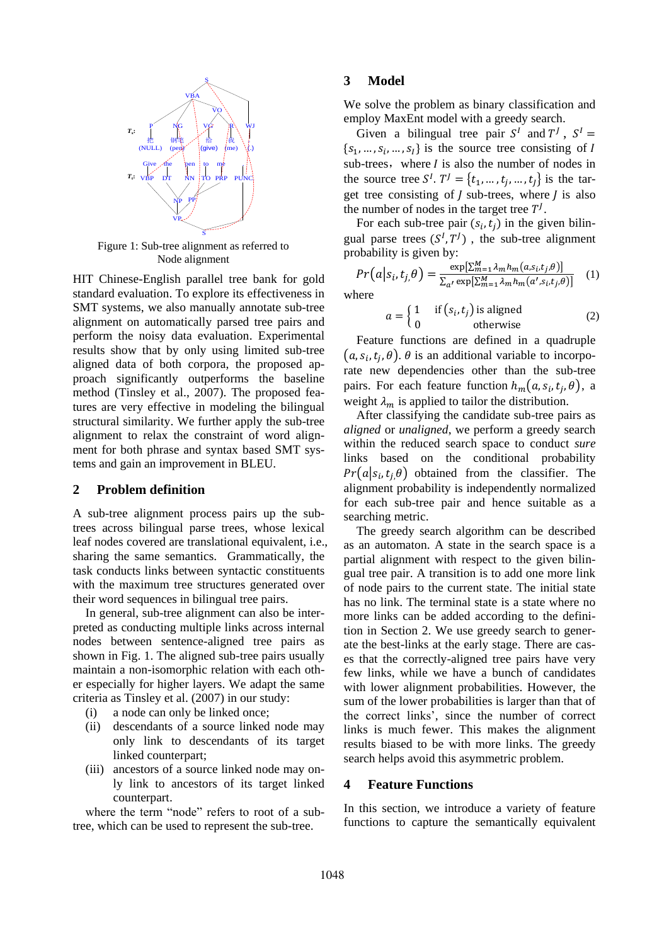

Figure 1: Sub-tree alignment as referred to Node alignment

HIT Chinese-English parallel tree bank for gold standard evaluation. To explore its effectiveness in SMT systems, we also manually annotate sub-tree alignment on automatically parsed tree pairs and perform the noisy data evaluation. Experimental results show that by only using limited sub-tree aligned data of both corpora, the proposed approach significantly outperforms the baseline method (Tinsley et al., 2007). The proposed features are very effective in modeling the bilingual structural similarity. We further apply the sub-tree alignment to relax the constraint of word alignment for both phrase and syntax based SMT systems and gain an improvement in BLEU.

# **2 Problem definition**

A sub-tree alignment process pairs up the subtrees across bilingual parse trees, whose lexical leaf nodes covered are translational equivalent, i.e., sharing the same semantics. Grammatically, the task conducts links between syntactic constituents with the maximum tree structures generated over their word sequences in bilingual tree pairs.

In general, sub-tree alignment can also be interpreted as conducting multiple links across internal nodes between sentence-aligned tree pairs as shown in Fig. 1. The aligned sub-tree pairs usually maintain a non-isomorphic relation with each other especially for higher layers. We adapt the same criteria as Tinsley et al. (2007) in our study:

- (i) a node can only be linked once;
- (ii) descendants of a source linked node may only link to descendants of its target linked counterpart;
- (iii) ancestors of a source linked node may only link to ancestors of its target linked counterpart.

where the term "node" refers to root of a subtree, which can be used to represent the sub-tree.

# **3 Model**

We solve the problem as binary classification and employ MaxEnt model with a greedy search.

Given a bilingual tree pair  $S<sup>I</sup>$  and  $T<sup>J</sup>$ ,  $S<sup>I</sup>$  ${s_1, ..., s_i, ..., s_l}$  is the source tree consisting of sub-trees, where  $I$  is also the number of nodes in the source tree  $S^I$ .  $T^J = \{t_1, \dots, t_i, \dots, t_I\}$  is the target tree consisting of  *sub-trees, where*  $*J*$  *is also* the number of nodes in the target tree  $T<sup>J</sup>$ .

For each sub-tree pair  $(s_i, t_j)$  in the given bilingual parse trees  $(S^I, T^J)$ , the sub-tree alignment probability is given by:

$$
Pr(a|s_i, t_j, \theta) = \frac{\exp[\sum_{m=1}^{M} \lambda_m h_m(a, s_i, t_j, \theta)]}{\sum_{a'} \exp[\sum_{m=1}^{M} \lambda_m h_m(a', s_i, t_j, \theta)]}
$$
 (1)

where

$$
a = \begin{cases} 1 & \text{if } (s_i, t_j) \text{ is aligned} \\ 0 & \text{otherwise} \end{cases}
$$
 (2)

Feature functions are defined in a quadruple  $(a, s_i, t_j, \theta)$ .  $\theta$  is an additional variable to incorporate new dependencies other than the sub-tree pairs. For each feature function  $h_m(a, s_i, t_i, \theta)$ , a weight  $\lambda_m$  is applied to tailor the distribution.

After classifying the candidate sub-tree pairs as *aligned* or *unaligned*, we perform a greedy search within the reduced search space to conduct *sure* links based on the conditional probability  $Pr(a | s_i, t_i, \theta)$  obtained from the classifier. The alignment probability is independently normalized for each sub-tree pair and hence suitable as a searching metric.

The greedy search algorithm can be described as an automaton. A state in the search space is a partial alignment with respect to the given bilingual tree pair. A transition is to add one more link of node pairs to the current state. The initial state has no link. The terminal state is a state where no more links can be added according to the definition in Section 2. We use greedy search to generate the best-links at the early stage. There are cases that the correctly-aligned tree pairs have very few links, while we have a bunch of candidates with lower alignment probabilities. However, the sum of the lower probabilities is larger than that of the correct links', since the number of correct links is much fewer. This makes the alignment results biased to be with more links. The greedy search helps avoid this asymmetric problem.

# **4 Feature Functions**

In this section, we introduce a variety of feature functions to capture the semantically equivalent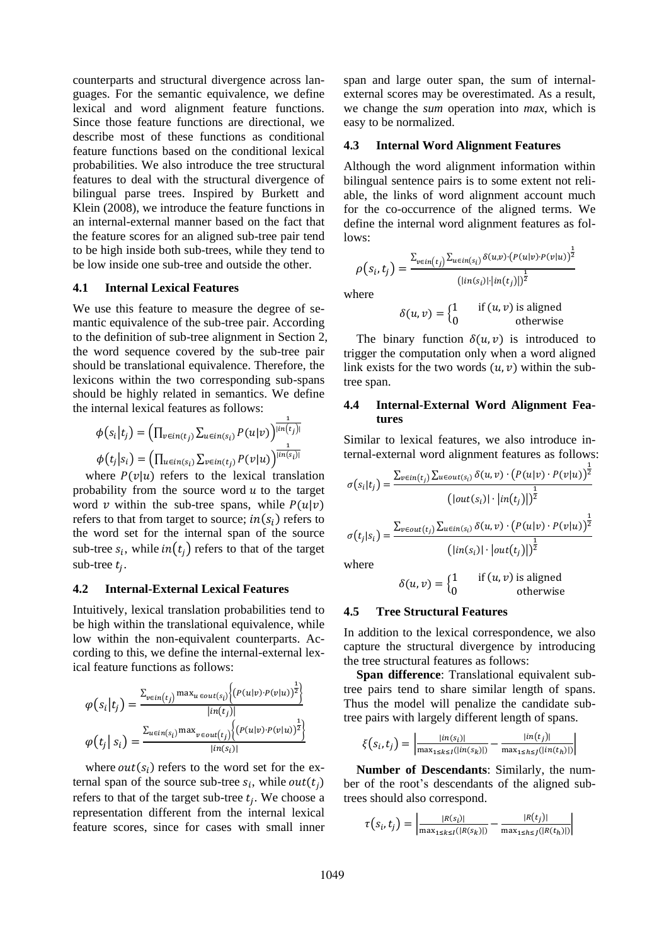counterparts and structural divergence across languages. For the semantic equivalence, we define lexical and word alignment feature functions. Since those feature functions are directional, we describe most of these functions as conditional feature functions based on the conditional lexical probabilities. We also introduce the tree structural features to deal with the structural divergence of bilingual parse trees. Inspired by Burkett and Klein (2008), we introduce the feature functions in an internal-external manner based on the fact that the feature scores for an aligned sub-tree pair tend to be high inside both sub-trees, while they tend to be low inside one sub-tree and outside the other.

# **4.1 Internal Lexical Features**

We use this feature to measure the degree of semantic equivalence of the sub-tree pair. According to the definition of sub-tree alignment in Section 2, the word sequence covered by the sub-tree pair should be translational equivalence. Therefore, the lexicons within the two corresponding sub-spans should be highly related in semantics. We define the internal lexical features as follows:

$$
\phi(s_i|t_j) = \left(\prod_{v \in in(t_j)} \sum_{u \in in(s_i)} P(u|v)\right)^{\frac{1}{\lfloor in(t_j) \rfloor}}
$$

$$
\phi(t_j|s_i) = \left(\prod_{u \in in(s_i)} \sum_{v \in in(t_j)} P(v|u)\right)^{\frac{1}{\lfloor in(s_i) \rfloor}}
$$

where  $P(v|u)$  refers to the lexical translation probability from the source word  $u$  to the target word v within the sub-tree spans, while  $P(u|v)$ refers to that from target to source;  $in(s_i)$  refers to the word set for the internal span of the source sub-tree  $s_i$ , while  $in(t_i)$  refers to that of the target sub-tree  $t_i$ .

#### **4.2 Internal-External Lexical Features**

Intuitively, lexical translation probabilities tend to be high within the translational equivalence, while low within the non-equivalent counterparts. According to this, we define the internal-external lexical feature functions as follows:

$$
\varphi(s_i|t_j) = \frac{\sum_{v \in in(t_j)} \max_{u \in out(s_i)} \left\{ (P(u|v) \cdot P(v|u))^{\frac{1}{2}} \right\}}{|in(t_j)|}
$$

$$
\varphi(t_j|s_i) = \frac{\sum_{u \in in(s_i)} \max_{v \in out(t_j)} \left\{ (P(u|v) \cdot P(v|u))^{\frac{1}{2}} \right\}}{|in(s_i)|}
$$

where  $out(s_i)$  refers to the word set for the external span of the source sub-tree  $s_i$ , while  $out(t_i)$ refers to that of the target sub-tree  $t_i$ . We choose a representation different from the internal lexical feature scores, since for cases with small inner

span and large outer span, the sum of internalexternal scores may be overestimated. As a result, we change the *sum* operation into *max*, which is easy to be normalized.

# **4.3 Internal Word Alignment Features**

Although the word alignment information within bilingual sentence pairs is to some extent not reliable, the links of word alignment account much for the co-occurrence of the aligned terms. We define the internal word alignment features as follows:

$$
\rho(s_i, t_j) = \frac{\sum_{v \in in(t_j)} \sum_{u \in in(s_i)} \delta(u, v) \cdot (P(u|v) \cdot P(v|u))^{\frac{1}{2}}}{\left(|in(s_i)| \cdot |in(t_j)|\right)^{\frac{1}{2}}}
$$

where

$$
\delta(u, v) = \begin{cases} 1 & \text{if } (u, v) \text{ is aligned} \\ 0 & \text{otherwise} \end{cases}
$$

 $\overline{1}$ 

 $\mathbf{1}$ 

The binary function  $\delta(u, v)$  is introduced to trigger the computation only when a word aligned link exists for the two words  $(u, v)$  within the subtree span.

### **4.4 Internal-External Word Alignment Features**

Similar to lexical features, we also introduce internal-external word alignment features as follows:

$$
\sigma(s_i|t_j) = \frac{\sum_{v \in in(t_j)} \sum_{u \in out(s_i)} \delta(u, v) \cdot (P(u|v) \cdot P(v|u))^2}{\left(|out(s_i)| \cdot |in(t_j)|\right)^{\frac{1}{2}}}
$$

$$
\sigma(t_j|s_i) = \frac{\sum_{v \in out(t_j)} \sum_{u \in in(s_i)} \delta(u, v) \cdot (P(u|v) \cdot P(v|u))^{\frac{1}{2}}}{\left(|in(s_i)| \cdot |out(t_j)|\right)^{\frac{1}{2}}}
$$

where

$$
\delta(u, v) = \begin{cases} 1 & \text{if } (u, v) \text{ is aligned} \\ 0 & \text{otherwise} \end{cases}
$$

### **4.5 Tree Structural Features**

In addition to the lexical correspondence, we also capture the structural divergence by introducing the tree structural features as follows:

**Span difference**: Translational equivalent subtree pairs tend to share similar length of spans. Thus the model will penalize the candidate subtree pairs with largely different length of spans.

$$
\xi(s_i, t_j) = \left| \frac{|in(s_i)|}{\max_{1 \le k \le l}(|in(s_k)|)} - \frac{|in(t_j)|}{\max_{1 \le h \le j}(|in(t_h)|)} \right|
$$

**Number of Descendants**: Similarly, the number of the root's descendants of the aligned subtrees should also correspond.

$$
\tau(s_i, t_j) = \left| \frac{|R(s_i)|}{\max_{1 \le k \le I}(|R(s_k)|)} - \frac{|R(t_j)|}{\max_{1 \le k \le J}(|R(t_k)|)} \right|
$$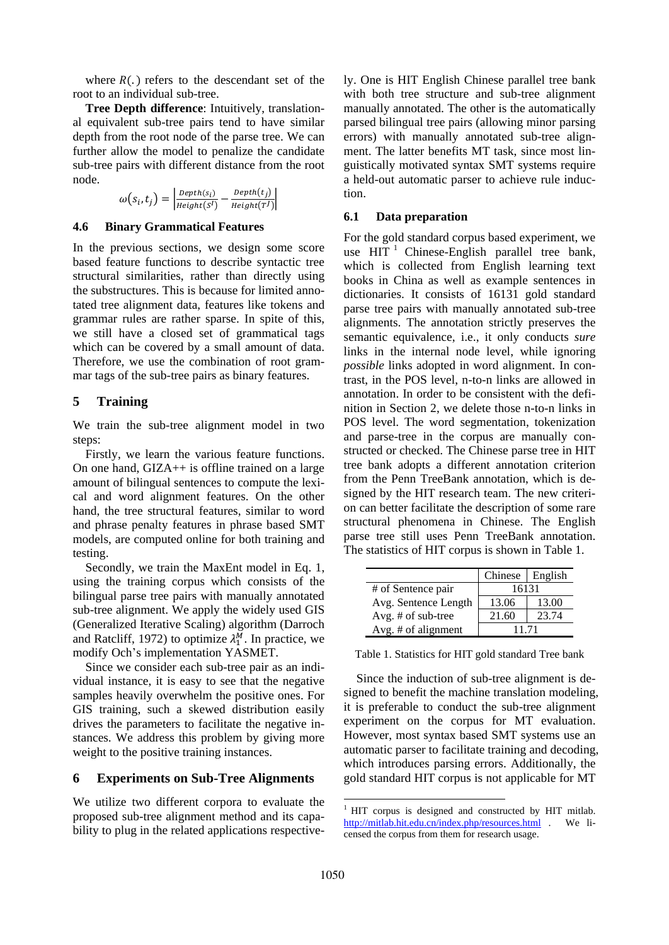where  $R(.)$  refers to the descendant set of the root to an individual sub-tree.

**Tree Depth difference**: Intuitively, translational equivalent sub-tree pairs tend to have similar depth from the root node of the parse tree. We can further allow the model to penalize the candidate sub-tree pairs with different distance from the root node.

|                     | $\vert$ Depth(s <sub>i</sub> ) | $Depth(t_j)$ |
|---------------------|--------------------------------|--------------|
| $\omega(s_i,t_j) =$ | Height(S <sup>I</sup> )        | Height(TJ)   |

### **4.6 Binary Grammatical Features**

In the previous sections, we design some score based feature functions to describe syntactic tree structural similarities, rather than directly using the substructures. This is because for limited annotated tree alignment data, features like tokens and grammar rules are rather sparse. In spite of this, we still have a closed set of grammatical tags which can be covered by a small amount of data. Therefore, we use the combination of root grammar tags of the sub-tree pairs as binary features.

# **5 Training**

We train the sub-tree alignment model in two steps:

Firstly, we learn the various feature functions. On one hand, GIZA++ is offline trained on a large amount of bilingual sentences to compute the lexical and word alignment features. On the other hand, the tree structural features, similar to word and phrase penalty features in phrase based SMT models, are computed online for both training and testing.

Secondly, we train the MaxEnt model in Eq. 1, using the training corpus which consists of the bilingual parse tree pairs with manually annotated sub-tree alignment. We apply the widely used GIS (Generalized Iterative Scaling) algorithm (Darroch and Ratcliff, 1972) to optimize  $\lambda_1^M$ . In practice, we modify Och's implementation YASMET.

Since we consider each sub-tree pair as an individual instance, it is easy to see that the negative samples heavily overwhelm the positive ones. For GIS training, such a skewed distribution easily drives the parameters to facilitate the negative instances. We address this problem by giving more weight to the positive training instances.

### **6 Experiments on Sub-Tree Alignments**

We utilize two different corpora to evaluate the proposed sub-tree alignment method and its capability to plug in the related applications respectively. One is HIT English Chinese parallel tree bank with both tree structure and sub-tree alignment manually annotated. The other is the automatically parsed bilingual tree pairs (allowing minor parsing errors) with manually annotated sub-tree alignment. The latter benefits MT task, since most linguistically motivated syntax SMT systems require a held-out automatic parser to achieve rule induction.

#### **6.1 Data preparation**

For the gold standard corpus based experiment, we use  $HIT<sup>1</sup>$  Chinese-English parallel tree bank, which is collected from English learning text books in China as well as example sentences in dictionaries. It consists of 16131 gold standard parse tree pairs with manually annotated sub-tree alignments. The annotation strictly preserves the semantic equivalence, i.e., it only conducts *sure* links in the internal node level, while ignoring *possible* links adopted in word alignment. In contrast, in the POS level, n-to-n links are allowed in annotation. In order to be consistent with the definition in Section 2, we delete those n-to-n links in POS level. The word segmentation, tokenization and parse-tree in the corpus are manually constructed or checked. The Chinese parse tree in HIT tree bank adopts a different annotation criterion from the Penn TreeBank annotation, which is designed by the HIT research team. The new criterion can better facilitate the description of some rare structural phenomena in Chinese. The English parse tree still uses Penn TreeBank annotation. The statistics of HIT corpus is shown in Table 1.

|                      | Chinese   English |       |  |
|----------------------|-------------------|-------|--|
| # of Sentence pair   | 16131             |       |  |
| Avg. Sentence Length | 13.06             | 13.00 |  |
| Avg. # of sub-tree   | 21.60             | 23.74 |  |
| Avg. # of alignment  | 11 71             |       |  |

Table 1. Statistics for HIT gold standard Tree bank

Since the induction of sub-tree alignment is designed to benefit the machine translation modeling, it is preferable to conduct the sub-tree alignment experiment on the corpus for MT evaluation. However, most syntax based SMT systems use an automatic parser to facilitate training and decoding, which introduces parsing errors. Additionally, the gold standard HIT corpus is not applicable for MT

<sup>&</sup>lt;sup>1</sup> HIT corpus is designed and constructed by HIT mitlab. http://mitlab.hit.edu.cn/index.php/resources.html . We licensed the corpus from them for research usage.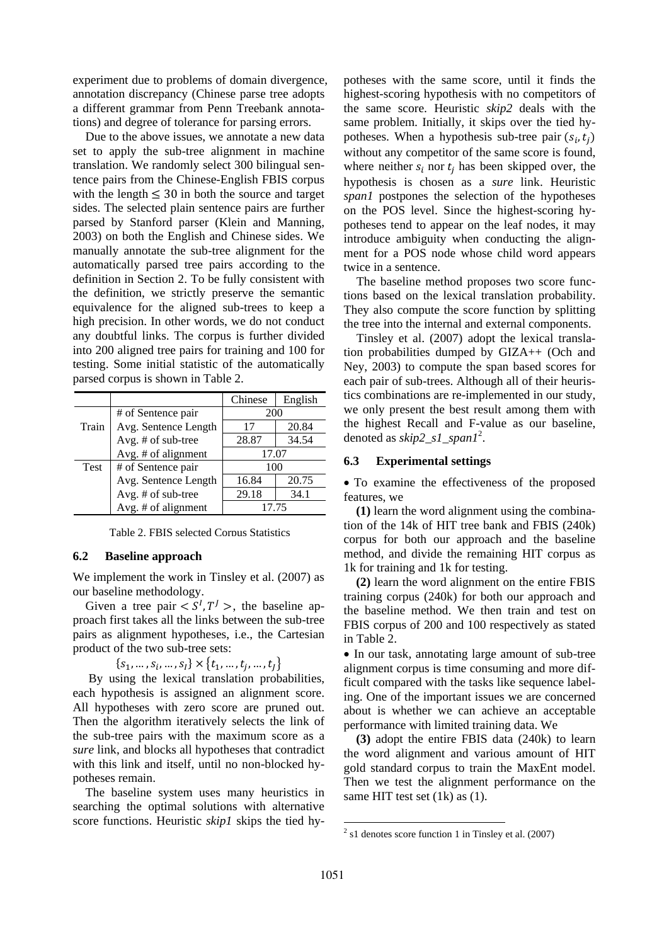experiment due to problems of domain divergence, annotation discrepancy (Chinese parse tree adopts a different grammar from Penn Treebank annotations) and degree of tolerance for parsing errors.

Due to the above issues, we annotate a new data set to apply the sub-tree alignment in machine translation. We randomly select 300 bilingual sentence pairs from the Chinese-English FBIS corpus with the length  $\leq$  30 in both the source and target sides. The selected plain sentence pairs are further parsed by Stanford parser (Klein and Manning, 2003) on both the English and Chinese sides. We manually annotate the sub-tree alignment for the automatically parsed tree pairs according to the definition in Section 2. To be fully consistent with the definition, we strictly preserve the semantic equivalence for the aligned sub-trees to keep a high precision. In other words, we do not conduct any doubtful links. The corpus is further divided into 200 aligned tree pairs for training and 100 for testing. Some initial statistic of the automatically parsed corpus is shown in Table 2.

|       |                      | Chinese | English |
|-------|----------------------|---------|---------|
|       | # of Sentence pair   | 200     |         |
| Train | Avg. Sentence Length | 17      | 20.84   |
|       | Avg. # of sub-tree   | 28.87   | 34.54   |
|       | Avg. # of alignment  | 17.07   |         |
| Test  | # of Sentence pair   | 100     |         |
|       | Avg. Sentence Length | 16.84   | 20.75   |
|       | Avg. # of sub-tree   | 29.18   | 34.1    |
|       | Avg. # of alignment  | 17.75   |         |

Table 2. FBIS selected Corpus Statistics

#### **6.2 Baseline approach**

We implement the work in Tinsley et al. (2007) as our baseline methodology.

Given a tree pair  $\langle S^I, T^J \rangle$ , the baseline approach first takes all the links between the sub-tree pairs as alignment hypotheses, i.e., the Cartesian product of the two sub-tree sets:

 $\{s_1, ..., s_i, ..., s_l\} \times \{t_1, ..., t_i, ..., t_l\}$ 

By using the lexical translation probabilities, each hypothesis is assigned an alignment score. All hypotheses with zero score are pruned out. Then the algorithm iteratively selects the link of the sub-tree pairs with the maximum score as a *sure* link, and blocks all hypotheses that contradict with this link and itself, until no non-blocked hypotheses remain.

The baseline system uses many heuristics in searching the optimal solutions with alternative score functions. Heuristic *skip1* skips the tied hy-

potheses with the same score, until it finds the highest-scoring hypothesis with no competitors of the same score. Heuristic *skip2* deals with the same problem. Initially, it skips over the tied hypotheses. When a hypothesis sub-tree pair  $(s_i)$ , without any competitor of the same score is found, where neither  $s_i$  nor  $t_i$  has been skipped over, the hypothesis is chosen as a *sure* link. Heuristic *span1* postpones the selection of the hypotheses on the POS level. Since the highest-scoring hypotheses tend to appear on the leaf nodes, it may introduce ambiguity when conducting the alignment for a POS node whose child word appears twice in a sentence.

The baseline method proposes two score functions based on the lexical translation probability. They also compute the score function by splitting the tree into the internal and external components.

Tinsley et al. (2007) adopt the lexical translation probabilities dumped by GIZA++ (Och and Ney, 2003) to compute the span based scores for each pair of sub-trees. Although all of their heuristics combinations are re-implemented in our study, we only present the best result among them with the highest Recall and F-value as our baseline, denoted as *skip2\_s1\_span1*<sup>2</sup> .

#### **6.3 Experimental settings**

 To examine the effectiveness of the proposed features, we

 **(1)** learn the word alignment using the combination of the 14k of HIT tree bank and FBIS (240k) corpus for both our approach and the baseline method, and divide the remaining HIT corpus as 1k for training and 1k for testing.

 **(2)** learn the word alignment on the entire FBIS training corpus (240k) for both our approach and the baseline method. We then train and test on FBIS corpus of 200 and 100 respectively as stated in Table 2.

• In our task, annotating large amount of sub-tree alignment corpus is time consuming and more difficult compared with the tasks like sequence labeling. One of the important issues we are concerned about is whether we can achieve an acceptable performance with limited training data. We

 **(3)** adopt the entire FBIS data (240k) to learn the word alignment and various amount of HIT gold standard corpus to train the MaxEnt model. Then we test the alignment performance on the same HIT test set (1k) as (1).

<sup>2</sup> s1 denotes score function 1 in Tinsley et al. (2007)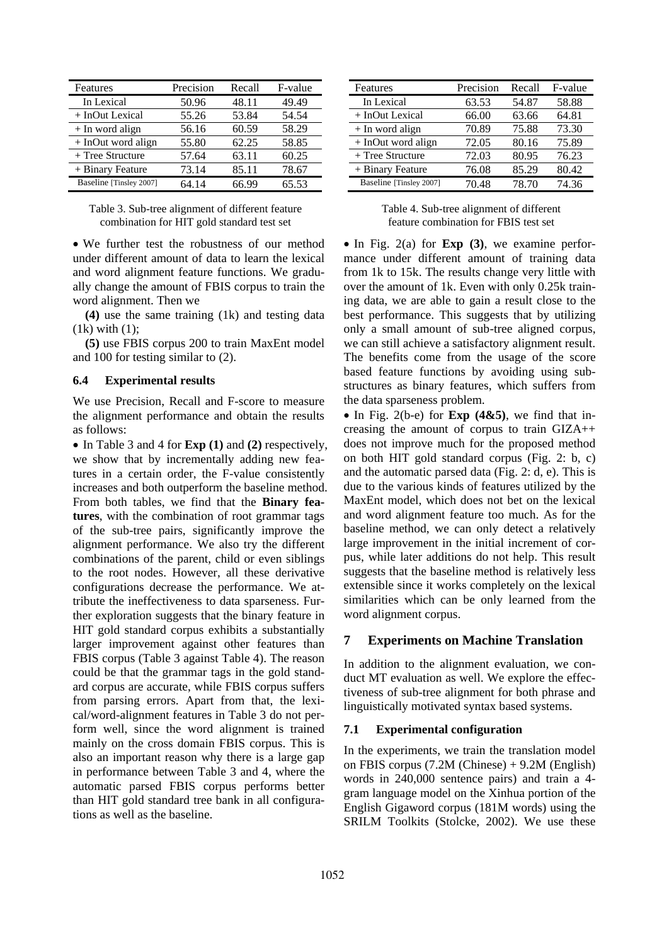| Features                | Precision | Recall | F-value |
|-------------------------|-----------|--------|---------|
| In Lexical              | 50.96     | 48.11  | 49.49   |
| + InOut Lexical         | 55.26     | 53.84  | 54.54   |
| $+$ In word align       | 56.16     | 60.59  | 58.29   |
| $+$ InOut word align    | 55.80     | 62.25  | 58.85   |
| $+$ Tree Structure      | 57.64     | 63.11  | 60.25   |
| + Binary Feature        | 73.14     | 85.11  | 78.67   |
| Baseline [Tinsley 2007] | 64.14     | 66.99  | 65.53   |

| Table 3. Sub-tree alignment of different feature |  |
|--------------------------------------------------|--|
| combination for HIT gold standard test set       |  |

 We further test the robustness of our method under different amount of data to learn the lexical and word alignment feature functions. We gradually change the amount of FBIS corpus to train the word alignment. Then we

 **(4)** use the same training (1k) and testing data  $(1k)$  with  $(1)$ ;

 **(5)** use FBIS corpus 200 to train MaxEnt model and 100 for testing similar to (2).

### **6.4 Experimental results**

We use Precision, Recall and F-score to measure the alignment performance and obtain the results as follows:

 In Table 3 and 4 for **Exp (1)** and **(2)** respectively, we show that by incrementally adding new features in a certain order, the F-value consistently increases and both outperform the baseline method. From both tables, we find that the **Binary features**, with the combination of root grammar tags of the sub-tree pairs, significantly improve the alignment performance. We also try the different combinations of the parent, child or even siblings to the root nodes. However, all these derivative configurations decrease the performance. We attribute the ineffectiveness to data sparseness. Further exploration suggests that the binary feature in HIT gold standard corpus exhibits a substantially larger improvement against other features than FBIS corpus (Table 3 against Table 4). The reason could be that the grammar tags in the gold standard corpus are accurate, while FBIS corpus suffers from parsing errors. Apart from that, the lexical/word-alignment features in Table 3 do not perform well, since the word alignment is trained mainly on the cross domain FBIS corpus. This is also an important reason why there is a large gap in performance between Table 3 and 4, where the automatic parsed FBIS corpus performs better than HIT gold standard tree bank in all configurations as well as the baseline.

| Features                | Precision | Recall | F-value |
|-------------------------|-----------|--------|---------|
| In Lexical              | 63.53     | 54.87  | 58.88   |
| + InOut Lexical         | 66.00     | 63.66  | 64.81   |
| $+$ In word align       | 70.89     | 75.88  | 73.30   |
| + InOut word align      | 72.05     | 80.16  | 75.89   |
| $+$ Tree Structure      | 72.03     | 80.95  | 76.23   |
| + Binary Feature        | 76.08     | 85.29  | 80.42   |
| Baseline [Tinsley 2007] | 70.48     | 78.70  | 74.36   |

Table 4. Sub-tree alignment of different feature combination for FBIS test set

• In Fig. 2(a) for **Exp** (3), we examine performance under different amount of training data from 1k to 15k. The results change very little with over the amount of 1k. Even with only 0.25k training data, we are able to gain a result close to the best performance. This suggests that by utilizing only a small amount of sub-tree aligned corpus, we can still achieve a satisfactory alignment result. The benefits come from the usage of the score based feature functions by avoiding using substructures as binary features, which suffers from the data sparseness problem.

 $\bullet$  In Fig. 2(b-e) for **Exp** (4&5), we find that increasing the amount of corpus to train GIZA++ does not improve much for the proposed method on both HIT gold standard corpus (Fig. 2: b, c) and the automatic parsed data (Fig. 2: d, e). This is due to the various kinds of features utilized by the MaxEnt model, which does not bet on the lexical and word alignment feature too much. As for the baseline method, we can only detect a relatively large improvement in the initial increment of corpus, while later additions do not help. This result suggests that the baseline method is relatively less extensible since it works completely on the lexical similarities which can be only learned from the word alignment corpus.

# **7 Experiments on Machine Translation**

In addition to the alignment evaluation, we conduct MT evaluation as well. We explore the effectiveness of sub-tree alignment for both phrase and linguistically motivated syntax based systems.

#### **7.1 Experimental configuration**

In the experiments, we train the translation model on FBIS corpus (7.2M (Chinese) + 9.2M (English) words in 240,000 sentence pairs) and train a 4 gram language model on the Xinhua portion of the English Gigaword corpus (181M words) using the SRILM Toolkits (Stolcke, 2002). We use these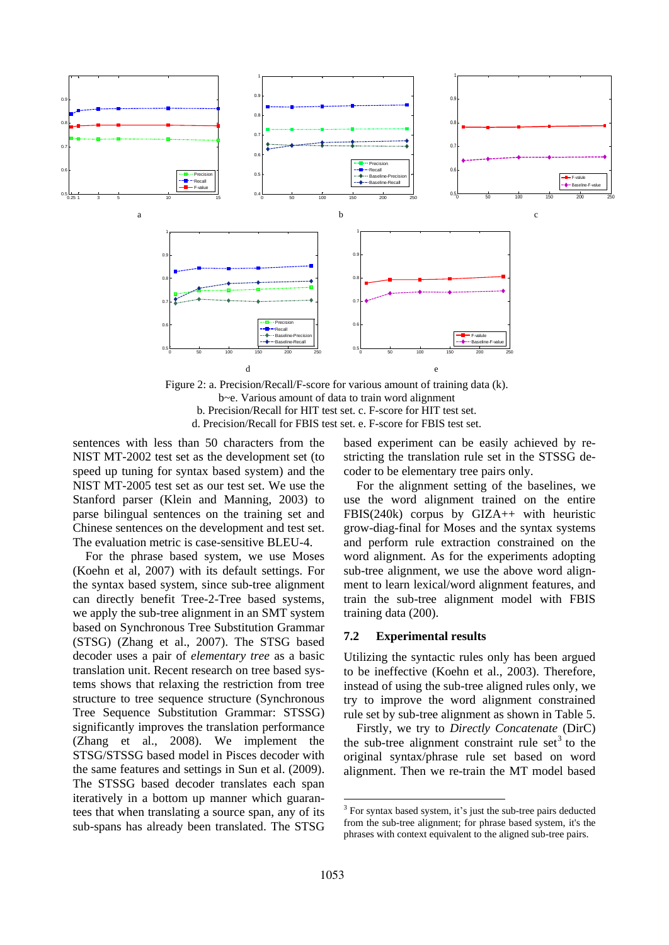

Figure 2: a. Precision/Recall/F-score for various amount of training data (k). b~e. Various amount of data to train word alignment b. Precision/Recall for HIT test set. c. F-score for HIT test set. d. Precision/Recall for FBIS test set. e. F-score for FBIS test set.

sentences with less than 50 characters from the NIST MT-2002 test set as the development set (to speed up tuning for syntax based system) and the NIST MT-2005 test set as our test set. We use the Stanford parser (Klein and Manning, 2003) to parse bilingual sentences on the training set and Chinese sentences on the development and test set. The evaluation metric is case-sensitive BLEU-4.

For the phrase based system, we use Moses (Koehn et al, 2007) with its default settings. For the syntax based system, since sub-tree alignment can directly benefit Tree-2-Tree based systems, we apply the sub-tree alignment in an SMT system based on Synchronous Tree Substitution Grammar (STSG) (Zhang et al., 2007). The STSG based decoder uses a pair of *elementary tree* as a basic translation unit. Recent research on tree based systems shows that relaxing the restriction from tree structure to tree sequence structure (Synchronous Tree Sequence Substitution Grammar: STSSG) significantly improves the translation performance (Zhang et al., 2008). We implement the STSG/STSSG based model in Pisces decoder with the same features and settings in Sun et al. (2009). The STSSG based decoder translates each span iteratively in a bottom up manner which guarantees that when translating a source span, any of its sub-spans has already been translated. The STSG

based experiment can be easily achieved by restricting the translation rule set in the STSSG decoder to be elementary tree pairs only.

For the alignment setting of the baselines, we use the word alignment trained on the entire FBIS(240k) corpus by GIZA++ with heuristic grow-diag-final for Moses and the syntax systems and perform rule extraction constrained on the word alignment. As for the experiments adopting sub-tree alignment, we use the above word alignment to learn lexical/word alignment features, and train the sub-tree alignment model with FBIS training data (200).

# **7.2 Experimental results**

Utilizing the syntactic rules only has been argued to be ineffective (Koehn et al., 2003). Therefore, instead of using the sub-tree aligned rules only, we try to improve the word alignment constrained rule set by sub-tree alignment as shown in Table 5.

Firstly, we try to *Directly Concatenate* (DirC) the sub-tree alignment constraint rule set $3$  to the original syntax/phrase rule set based on word alignment. Then we re-train the MT model based

<sup>&</sup>lt;sup>3</sup> For syntax based system, it's just the sub-tree pairs deducted from the sub-tree alignment; for phrase based system, it's the phrases with context equivalent to the aligned sub-tree pairs.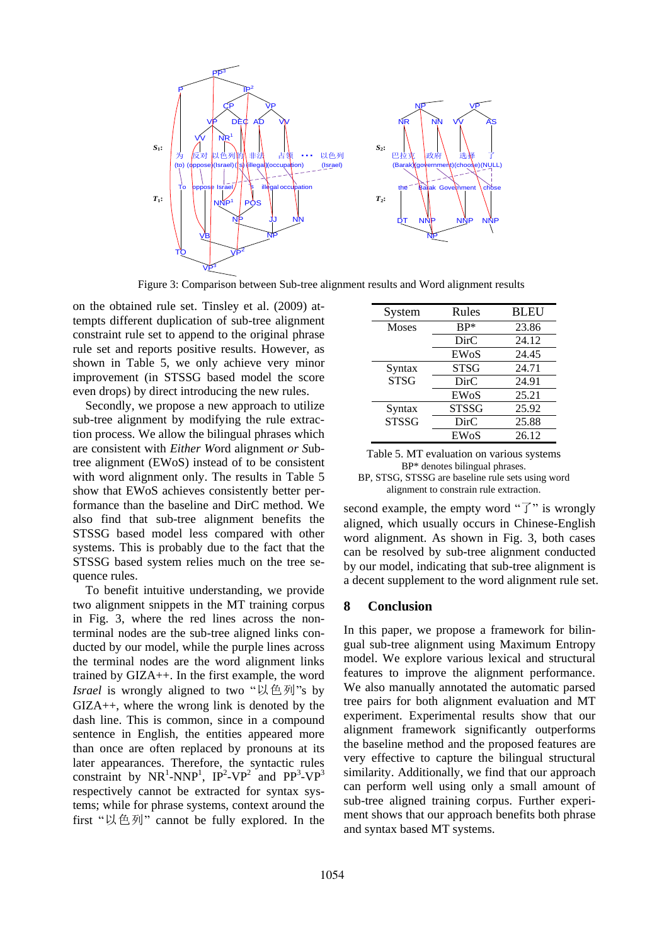

Figure 3: Comparison between Sub-tree alignment results and Word alignment results

on the obtained rule set. Tinsley et al. (2009) attempts different duplication of sub-tree alignment constraint rule set to append to the original phrase rule set and reports positive results. However, as shown in Table 5, we only achieve very minor improvement (in STSSG based model the score even drops) by direct introducing the new rules.

Secondly, we propose a new approach to utilize sub-tree alignment by modifying the rule extraction process. We allow the bilingual phrases which are consistent with *Either W*ord alignment *or S*ubtree alignment (EWoS) instead of to be consistent with word alignment only. The results in Table 5 show that EWoS achieves consistently better performance than the baseline and DirC method. We also find that sub-tree alignment benefits the STSSG based model less compared with other systems. This is probably due to the fact that the STSSG based system relies much on the tree sequence rules.

To benefit intuitive understanding, we provide two alignment snippets in the MT training corpus in Fig. 3, where the red lines across the nonterminal nodes are the sub-tree aligned links conducted by our model, while the purple lines across the terminal nodes are the word alignment links trained by GIZA++. In the first example, the word *Israel* is wrongly aligned to two "以色列"s by GIZA++, where the wrong link is denoted by the dash line. This is common, since in a compound sentence in English, the entities appeared more than once are often replaced by pronouns at its later appearances. Therefore, the syntactic rules constraint by  $NR^1$ -NNP<sup>1</sup>, IP<sup>2</sup>-VP<sup>2</sup> and PP<sup>3</sup>-VP<sup>3</sup> respectively cannot be extracted for syntax systems; while for phrase systems, context around the first "以色列" cannot be fully explored. In the

| System       | Rules        | <b>BLEU</b> |
|--------------|--------------|-------------|
| <b>Moses</b> | $BP*$        | 23.86       |
|              | DirC         | 24.12       |
|              | EWoS         | 24.45       |
| Syntax       | STSG         | 24.71       |
| <b>STSG</b>  | DirC         | 24.91       |
|              | EWoS         | 25.21       |
| Syntax       | <b>STSSG</b> | 25.92       |
| <b>STSSG</b> | DirC         | 25.88       |
|              | EWoS         | 26.12       |

| Table 5. MT evaluation on various systems         |
|---------------------------------------------------|
| BP* denotes bilingual phrases.                    |
| BP, STSG, STSSG are baseline rule sets using word |
| alignment to constrain rule extraction.           |

second example, the empty word " $\overrightarrow{J}$ " is wrongly aligned, which usually occurs in Chinese-English word alignment. As shown in Fig. 3, both cases can be resolved by sub-tree alignment conducted by our model, indicating that sub-tree alignment is a decent supplement to the word alignment rule set.

# **8 Conclusion**

In this paper, we propose a framework for bilingual sub-tree alignment using Maximum Entropy model. We explore various lexical and structural features to improve the alignment performance. We also manually annotated the automatic parsed tree pairs for both alignment evaluation and MT experiment. Experimental results show that our alignment framework significantly outperforms the baseline method and the proposed features are very effective to capture the bilingual structural similarity. Additionally, we find that our approach can perform well using only a small amount of sub-tree aligned training corpus. Further experiment shows that our approach benefits both phrase and syntax based MT systems.